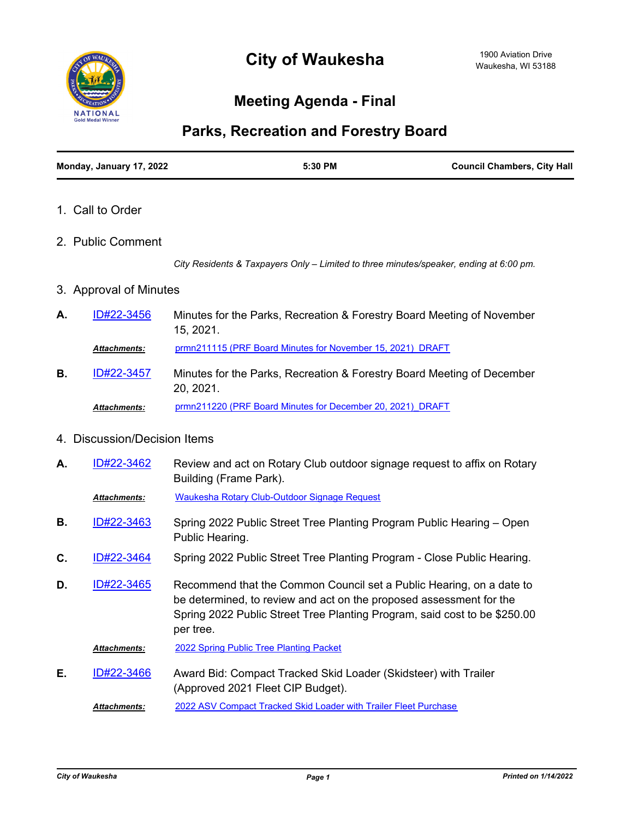

## **Meeting Agenda - Final**

## **Parks, Recreation and Forestry Board**

| Monday, January 17, 2022 | 5:30 PM | <b>Council Chambers, City Hall</b> |
|--------------------------|---------|------------------------------------|
|--------------------------|---------|------------------------------------|

- 1. Call to Order
- 2. Public Comment

*City Residents & Taxpayers Only – Limited to three minutes/speaker, ending at 6:00 pm.*

## 3. Approval of Minutes

Minutes for the Parks, Recreation & Forestry Board Meeting of November 15, 2021. **A.** [ID#22-3456](http://waukesha.legistar.com/gateway.aspx?m=l&id=/matter.aspx?key=16404)

*Attachments:* [prmn211115 \(PRF Board Minutes for November 15, 2021\)\\_DRAFT](http://waukesha.legistar.com/gateway.aspx?M=F&ID=fe791dc4-5762-482f-b396-ecdb9dbb9b53.pdf)

Minutes for the Parks, Recreation & Forestry Board Meeting of December 20, 2021. **B.** [ID#22-3457](http://waukesha.legistar.com/gateway.aspx?m=l&id=/matter.aspx?key=16405) *Attachments:* [prmn211220 \(PRF Board Minutes for December 20, 2021\)\\_DRAFT](http://waukesha.legistar.com/gateway.aspx?M=F&ID=09f761cd-be5e-4c99-8f55-c79ee5f21913.pdf)

## 4. Discussion/Decision Items

Review and act on Rotary Club outdoor signage request to affix on Rotary Building (Frame Park). **A.** [ID#22-3462](http://waukesha.legistar.com/gateway.aspx?m=l&id=/matter.aspx?key=16410)

*Attachments:* [Waukesha Rotary Club-Outdoor Signage Request](http://waukesha.legistar.com/gateway.aspx?M=F&ID=fd869d45-a90c-4493-97c7-fc872455dd16.pdf)

- Spring 2022 Public Street Tree Planting Program Public Hearing Open Public Hearing. **B.** [ID#22-3463](http://waukesha.legistar.com/gateway.aspx?m=l&id=/matter.aspx?key=16411)
- **C.** [ID#22-3464](http://waukesha.legistar.com/gateway.aspx?m=l&id=/matter.aspx?key=16412) Spring 2022 Public Street Tree Planting Program Close Public Hearing.
- Recommend that the Common Council set a Public Hearing, on a date to be determined, to review and act on the proposed assessment for the Spring 2022 Public Street Tree Planting Program, said cost to be \$250.00 per tree. **D.** [ID#22-3465](http://waukesha.legistar.com/gateway.aspx?m=l&id=/matter.aspx?key=16413)

*Attachments:* [2022 Spring Public Tree Planting Packet](http://waukesha.legistar.com/gateway.aspx?M=F&ID=fe8e2bd2-92a6-422b-af85-d07e770b6e02.pdf)

Award Bid: Compact Tracked Skid Loader (Skidsteer) with Trailer (Approved 2021 Fleet CIP Budget). **E.** [ID#22-3466](http://waukesha.legistar.com/gateway.aspx?m=l&id=/matter.aspx?key=16414)

*Attachments:* [2022 ASV Compact Tracked Skid Loader with Trailer Fleet Purchase](http://waukesha.legistar.com/gateway.aspx?M=F&ID=7347099c-1679-42d8-af80-2f89f27adbcb.pdf)